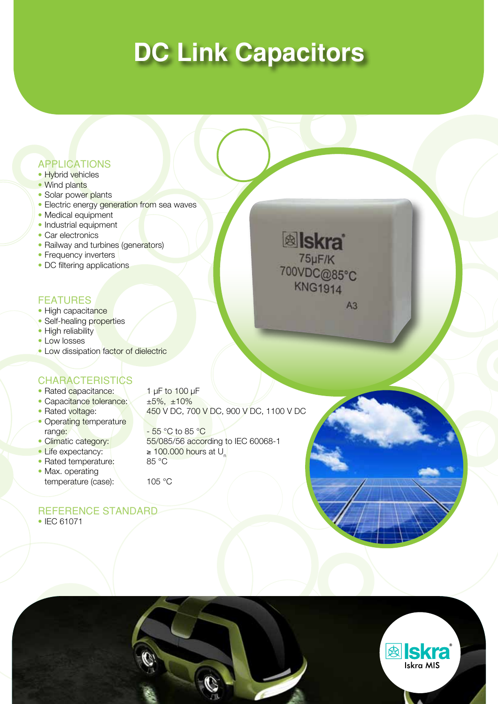# **DC Link Capacitors**

### APPLICATIONS

- Hybrid vehicles
- Wind plants
- Solar power plants
- Electric energy generation from sea waves
- Medical equipment
- Industrial equipment
- Car electronics
- Railway and turbines (generators)
- Frequency inverters
- DC filtering applications

### **FEATURES**

- High capacitance
- Self-healing properties
- High reliability
- • Low losses
- Low dissipation factor of dielectric

### **CHARACTERISTICS**

- Rated capacitance: 1 μF to 100 μF
- Capacitance tolerance: ±5%, ±10%
- 
- Operating temperature range:  $\sqrt{2}$  - 55 °C to 85 °C
- 
- 
- Rated temperature:
- Max. operating temperature (case): 105 °C

• Rated voltage: 450 V DC, 700 V DC, 900 V DC, 1100 V DC

• Climatic category: 55/085/56 according to IEC 60068-1 • Life expectancy:  $\begin{bmatrix} \bullet & 100.000 \text{ hours at U} \\ \bullet & \text{Rated temperature:} \end{bmatrix}$ 

# REFERENCE STANDARD





**&** Iskra 75µF/K 700VDC@85°C **KNG1914**  $A3$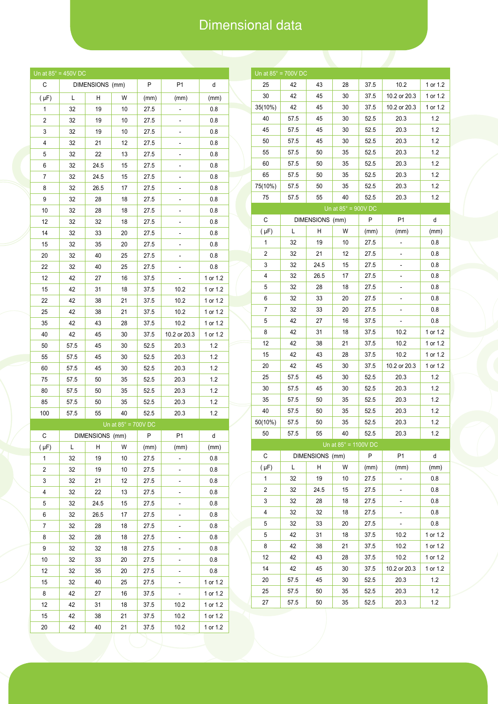# Dimensional data

|                | Un at $85^\circ = 450V$ DC |                 |                            |      |                |          |
|----------------|----------------------------|-----------------|----------------------------|------|----------------|----------|
| С              |                            | DIMENSIONS (mm) |                            | P    | P1             | d        |
| $(\mu F)$      | L                          | Н               | W                          | (mm) | (mm)           | (mm)     |
| 1              | 32                         | 19              | 10                         | 27.5 |                | 0.8      |
| 2              | 32                         | 19              | 10                         | 27.5 |                | 0.8      |
| 3              | 32                         | 19              | 10                         | 27.5 |                | 0.8      |
| 4              | 32                         | 21              | 12                         | 27.5 |                | 0.8      |
| 5              | 32                         | 22              | 13                         | 27.5 |                | 0.8      |
| 6              | 32                         | 24.5            | 15                         | 27.5 | ۳              | 0.8      |
| 7              | 32                         | 24.5            | 15                         | 27.5 |                | 0.8      |
| 8              | 32                         | 26.5            | 17                         | 27.5 |                | 0.8      |
| 9              | 32                         | 28              | 18                         | 27.5 |                | 0.8      |
| 10             | 32                         | 28              | 18                         | 27.5 |                | 0.8      |
| 12             | 32                         | 32              | 18                         | 27.5 |                | 0.8      |
| 14             | 32                         | 33              | 20                         | 27.5 |                | 0.8      |
| 15             | 32                         | 35              | 20                         | 27.5 |                | 0.8      |
| 20             | 32                         | 40              | 25                         | 27.5 | f              | 0.8      |
| 22             | 32                         | 40              | 25                         | 27.5 |                | 0.8      |
| 12             | 42                         | 27              | 16                         | 37.5 |                | 1 or 1.2 |
| 15             | 42                         | 31              | 18                         | 37.5 | 10.2           | 1 or 1.2 |
| 22             | 42                         | 38              | 21                         | 37.5 | 10.2           | 1 or 1.2 |
| 25             | 42                         | 38              | 21                         | 37.5 | 10.2           | 1 or 1.2 |
| 35             | 42                         | 43              | 28                         | 37.5 | 10.2           | 1 or 1.2 |
| 40             | 42                         | 45              | 30                         | 37.5 | 10.2 or 20.3   | 1 or 1.2 |
| 50             | 57.5                       | 45              | 30                         | 52.5 | 20.3           | 1.2      |
| 55             | 57.5                       | 45              | 30                         | 52.5 | 20.3           | 1.2      |
| 60             | 57.5                       | 45              | 30                         | 52.5 | 20.3           | 1.2      |
| 75             | 57.5                       | 50              | 35                         | 52.5 | 20.3           | 1.2      |
| 80             | 57.5                       | 50              | 35                         | 52.5 | 20.3           | 1.2      |
| 85             | 57.5                       | 50              | 35                         | 52.5 | 20.3           | 1.2      |
| 100            | 57.5                       | 55              | 40                         | 52.5 | 20.3           | 1.2      |
|                |                            |                 | Un at $85^\circ$ = 700V DC |      |                |          |
| C              |                            | DIMENSIONS (mm) |                            | P    | P1             | d        |
| $(\mu F)$      | L                          | Н               | W                          | (mm) | (mm)           | (mm)     |
| 1              | 32                         | 19              | 10                         | 27.5 |                | 0.8      |
| $\overline{c}$ | 32                         | 19              | 10                         | 27.5 |                | 0.8      |
| 3              | 32                         | 21              | 12                         | 27.5 | -              | 0.8      |
| 4              | 32                         | 22              | 13                         | 27.5 |                | 0.8      |
| 5              | 32                         | 24.5            | 15                         | 27.5 |                | 0.8      |
| 6              | 32                         | 26.5            | 17                         | 27.5 |                | 0.8      |
| 7              | 32                         | 28              | 18                         | 27.5 |                | 0.8      |
| 8              | 32                         | 28              | 18                         | 27.5 |                | 0.8      |
| 9              | 32                         | 32              | 18                         | 27.5 |                | 0.8      |
| 10             | 32                         | 33              | 20                         | 27.5 |                | 0.8      |
| 12             | 32                         | 35              | 20                         | 27.5 | ÷              | 0.8      |
| 15             | 32                         | 40              | 25                         | 27.5 | -              | 1 or 1.2 |
| 8              | 42                         | 27              | 16                         | 37.5 | $\overline{a}$ | 1 or 1.2 |
| 12             | 42                         | 31              | 18                         | 37.5 | 10.2           | 1 or 1.2 |
| 15             | 42                         | 38              | 21                         | 37.5 | 10.2           | 1 or 1.2 |
|                |                            |                 |                            |      |                |          |

|                | Un at $85^\circ$ = 700V DC                     |                 |                            |              |                        |            |  |
|----------------|------------------------------------------------|-----------------|----------------------------|--------------|------------------------|------------|--|
| 25             | 42                                             | 43              | 28                         |              | 10.2                   | 1 or 1.2   |  |
|                |                                                |                 |                            | 37.5         |                        |            |  |
| 30             | 42                                             | 45              | 30                         | 37.5         | 10.2 or 20.3           | 1 or 1.2   |  |
| 35(10%)        | 42                                             | 45              | 30                         | 37.5         | 10.2 or 20.3           | 1 or 1.2   |  |
| 40             | 57.5                                           | 45              | 30                         | 52.5         | 20.3                   | 1.2        |  |
| 45             | 57.5                                           | 45              | 30                         | 52.5         | 20.3                   | 1.2        |  |
| 50             | 57.5                                           | 45              | 30                         | 52.5         | 20.3                   | 1.2        |  |
| 55             | 57.5                                           | 50              | 35                         | 52.5         | 20.3                   | 1.2        |  |
| 60             | 57.5                                           | 50              | 35                         | 52.5         | 20.3                   | 1.2        |  |
| 65             | 57.5                                           | 50              | 35                         | 52.5         | 20.3                   | 1.2        |  |
| 75(10%)        | 57.5                                           | 50              | 35                         | 52.5         | 20.3                   | 1.2        |  |
| 75             | 57.5                                           | 55              | 40                         | 52.5         | 20.3                   | 1.2        |  |
|                |                                                |                 | Un at $85^\circ$ = 900V DC |              |                        |            |  |
| С              |                                                | DIMENSIONS (mm) |                            | P            | P <sub>1</sub>         | d          |  |
| $(\mu F)$      | Г                                              | н               | W                          | (mm)         | (mm)                   | (mm)       |  |
| 1              | 32                                             | 19              | 10                         | 27.5         |                        | 0.8        |  |
| 2              | 32                                             | 21              | 12                         | 27.5         |                        | 0.8        |  |
| 3<br>4         | 32                                             | 24.5            | 15                         | 27.5         |                        | 0.8        |  |
|                | 32                                             | 26.5            | 17                         | 27.5         |                        | 0.8        |  |
| 5              | 32                                             | 28              | 18                         | 27.5         |                        | 0.8        |  |
| 6              | 32                                             | 33              | 20                         | 27.5         |                        | 0.8        |  |
| 7              | 32                                             | 33              | 20                         | 27.5         |                        | 0.8        |  |
| 5              | 42                                             | 27              | 16                         | 37.5         |                        | 0.8        |  |
| 8              | 42                                             | 31              | 18                         | 37.5         | 10.2                   | 1 or 1.2   |  |
| 12             | 42                                             | 38              | 21                         | 37.5         | 10.2                   | 1 or 1.2   |  |
| 15             | 42                                             | 43              | 28                         | 37.5         | 10.2                   | 1 or 1.2   |  |
| 20             | 42                                             | 45              | 30                         | 37.5         | 10.2 or 20.3           | 1 or 1.2   |  |
| 25             | 57.5                                           | 45              | 30                         | 52.5         | 20.3                   | 1.2        |  |
| 30             | 57.5                                           | 45              | 30                         | 52.5         | 20.3                   | 1.2        |  |
| 35             | 57.5                                           | 50              | 35                         | 52.5         | 20.3                   | 1.2        |  |
| 40             | 57.5                                           | 50              | 35                         | 52.5         | 20.3                   | 1.2        |  |
| 50(10%)        | 57.5                                           | 50              | 35                         | 52.5         | 20.3                   | 1.2        |  |
| 50             | 57.5                                           | 55              | 40                         | 52.5         | 20.3                   | 1.2        |  |
|                | Un at $85^\circ$ = 1100V DC<br>DIMENSIONS (mm) |                 |                            |              |                        |            |  |
| C              | Г                                              | н               | W                          | P            | P <sub>1</sub><br>(mm) | d<br>(mm)  |  |
| $(\mu F)$<br>1 | 32                                             | 19              | 10                         | (mm)<br>27.5 |                        | 0.8        |  |
| 2              | 32                                             | 24.5            | 15                         |              | ÷                      | 0.8        |  |
| 3              | 32                                             | 28              | 18                         | 27.5<br>27.5 |                        | 0.8        |  |
| 4              | 32                                             |                 |                            |              |                        |            |  |
|                | 32                                             | 32              | 18                         | 27.5<br>27.5 |                        | 0.8<br>0.8 |  |
| 5              | 42                                             | 33<br>31        | 20<br>18                   | 37.5         |                        | 1 or 1.2   |  |
| 5<br>8         | 42                                             | 38              | 21                         | 37.5         | 10.2<br>10.2           | 1 or 1.2   |  |
| 12             | 42                                             | 43              | 28                         | 37.5         | 10.2                   | 1 or 1.2   |  |
| 14             | 42                                             | 45              | 30                         | 37.5         | 10.2 or 20.3           | 1 or 1.2   |  |
|                | 57.5                                           | 45              | 30                         |              |                        | 1.2        |  |
| 20             |                                                |                 |                            | 52.5         | 20.3                   | 1.2        |  |
| 25             | 57.5                                           | 50              | 35                         | 52.5         | 20.3                   | 1.2        |  |
| 27             | 57.5                                           | 50              | 35                         | 52.5         | 20.3                   |            |  |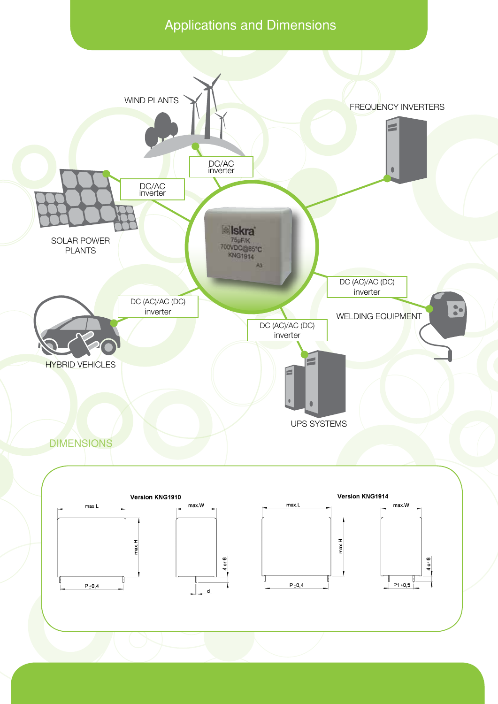# Applications and Dimensions